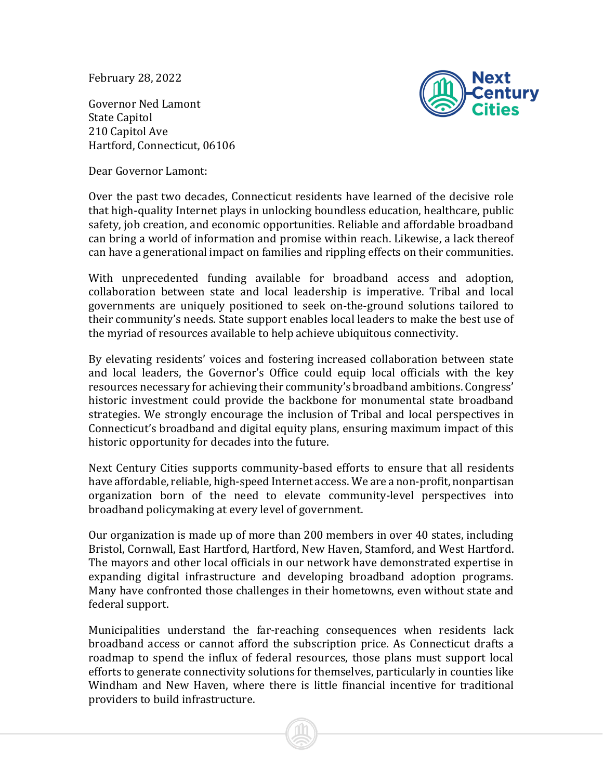February 28, 2022

Governor Ned Lamont State Capitol 210 Capitol Ave Hartford, Connecticut, 06106



Dear Governor Lamont:

Over the past two decades, Connecticut residents have learned of the decisive role that high-quality Internet plays in unlocking boundless education, healthcare, public safety, job creation, and economic opportunities. Reliable and affordable broadband can bring a world of information and promise within reach. Likewise, a lack thereof can have a generational impact on families and rippling effects on their communities.

With unprecedented funding available for broadband access and adoption, collaboration between state and local leadership is imperative. Tribal and local governments are uniquely positioned to seek on-the-ground solutions tailored to their community's needs. State support enables local leaders to make the best use of the myriad of resources available to help achieve ubiquitous connectivity.

By elevating residents' voices and fostering increased collaboration between state and local leaders, the Governor's Office could equip local officials with the key resources necessary for achieving their community's broadband ambitions. Congress' historic investment could provide the backbone for monumental state broadband strategies. We strongly encourage the inclusion of Tribal and local perspectives in Connecticut's broadband and digital equity plans, ensuring maximum impact of this historic opportunity for decades into the future.

Next Century Cities supports community-based efforts to ensure that all residents have affordable, reliable, high-speed Internet access. We are a non-profit, nonpartisan organization born of the need to elevate community-level perspectives into broadband policymaking at every level of government.

Our organization is made up of more than 200 members in over 40 states, including Bristol, Cornwall, East Hartford, Hartford, New Haven, Stamford, and West Hartford. The mayors and other local officials in our network have demonstrated expertise in expanding digital infrastructure and developing broadband adoption programs. Many have confronted those challenges in their hometowns, even without state and federal support.

Municipalities understand the far-reaching consequences when residents lack broadband access or cannot afford the subscription price. As Connecticut drafts a roadmap to spend the influx of federal resources, those plans must support local efforts to generate connectivity solutions for themselves, particularly in counties like Windham and New Haven, where there is little financial incentive for traditional providers to build infrastructure.